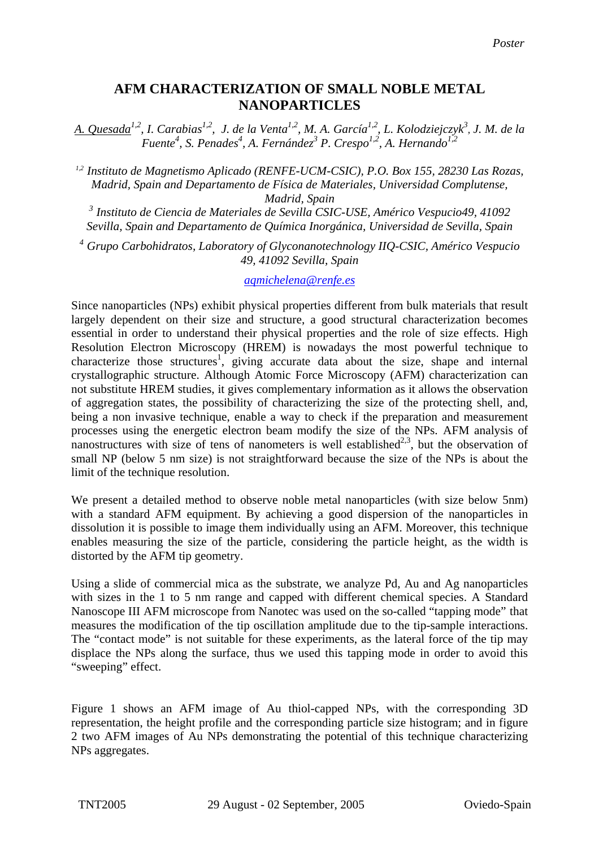## **AFM CHARACTERIZATION OF SMALL NOBLE METAL NANOPARTICLES**

*A. Quesada1,2, I. Carabias1,2, J. de la Venta1,2, M. A. García1,2, L. Kolodziejczyk3* , *J. M. de la Fuente4 , S. Penades<sup>4</sup> , A. Fernández<sup>3</sup> P. Crespo1,2, A. Hernando1,2*

*1,2 Instituto de Magnetismo Aplicado (RENFE-UCM-CSIC), P.O. Box 155, 28230 Las Rozas, Madrid, Spain and Departamento de Física de Materiales, Universidad Complutense, Madrid, Spain* 

*<sup>3</sup> Instituto de Ciencia de Materiales de Sevilla CSIC-USE, Américo Vespucio49, 41092 Sevilla, Spain and Departamento de Química Inorgánica, Universidad de Sevilla, Spain* 

*<sup>4</sup> Grupo Carbohidratos, Laboratory of Glyconanotechnology IIQ-CSIC, Américo Vespucio 49, 41092 Sevilla, Spain*

*[aqmichelena@renfe.es](mailto:Contact@E-mail)*

Since nanoparticles (NPs) exhibit physical properties different from bulk materials that result largely dependent on their size and structure, a good structural characterization becomes essential in order to understand their physical properties and the role of size effects. High Resolution Electron Microscopy (HREM) is nowadays the most powerful technique to characterize those structures<sup>1</sup>, giving accurate data about the size, shape and internal crystallographic structure. Although Atomic Force Microscopy (AFM) characterization can not substitute HREM studies, it gives complementary information as it allows the observation of aggregation states, the possibility of characterizing the size of the protecting shell, and, being a non invasive technique, enable a way to check if the preparation and measurement processes using the energetic electron beam modify the size of the NPs. AFM analysis of nanostructures with size of tens of nanometers is well established<sup>2,3</sup>, but the observation of small NP (below 5 nm size) is not straightforward because the size of the NPs is about the limit of the technique resolution.

We present a detailed method to observe noble metal nanoparticles (with size below 5nm) with a standard AFM equipment. By achieving a good dispersion of the nanoparticles in dissolution it is possible to image them individually using an AFM. Moreover, this technique enables measuring the size of the particle, considering the particle height, as the width is distorted by the AFM tip geometry.

Using a slide of commercial mica as the substrate, we analyze Pd, Au and Ag nanoparticles with sizes in the 1 to 5 nm range and capped with different chemical species. A Standard Nanoscope III AFM microscope from Nanotec was used on the so-called "tapping mode" that measures the modification of the tip oscillation amplitude due to the tip-sample interactions. The "contact mode" is not suitable for these experiments, as the lateral force of the tip may displace the NPs along the surface, thus we used this tapping mode in order to avoid this "sweeping" effect.

Figure 1 shows an AFM image of Au thiol-capped NPs, with the corresponding 3D representation, the height profile and the corresponding particle size histogram; and in figure 2 two AFM images of Au NPs demonstrating the potential of this technique characterizing NPs aggregates.